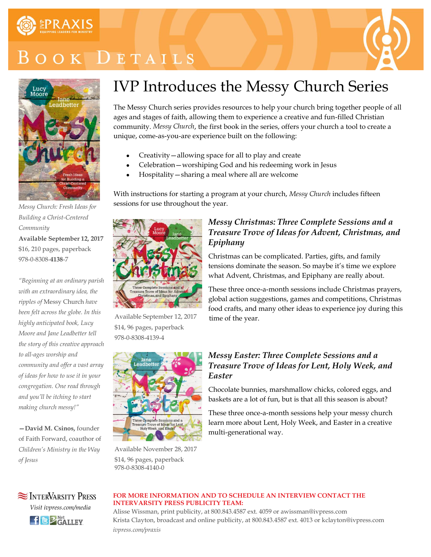

# OOK DETAILS





*Messy Church: Fresh Ideas for Building a Christ-Centered Community* **Available September 12, 2017** \$16, 210 pages, paperback 978-0-8308-**4138**-7

*"Beginning at an ordinary parish with an extraordinary idea, the ripples of* Messy Church *have been felt across the globe. In this highly anticipated book, Lucy Moore and Jane Leadbetter tell the story of this creative approach to all-ages worship and community and offer a vast array of ideas for how to use it in your congregation. One read through and you'll be itching to start making church messy!"*

**—David M. Csinos,** founder of Faith Forward, coauthor of *Children's Ministry in the Way of Jesus*

# IVP Introduces the Messy Church Series

The Messy Church series provides resources to help your church bring together people of all ages and stages of faith, allowing them to experience a creative and fun-filled Christian community. *Messy Church*, the first book in the series, offers your church a tool to create a unique, come-as-you-are experience built on the following:

- Creativity—allowing space for all to play and create
- Celebration—worshiping God and his redeeming work in Jesus
- Hospitality—sharing a meal where all are welcome

With instructions for starting a program at your church, *Messy Church* includes fifteen sessions for use throughout the year.



Available September 12, 2017 \$14, 96 pages, paperback 978-0-8308-4139-4



Available November 28, 2017 \$14, 96 pages, paperback 978-0-8308-4140-0

### *Messy Christmas: Three Complete Sessions and a Treasure Trove of Ideas for Advent, Christmas, and Epiphany*

Christmas can be complicated. Parties, gifts, and family tensions dominate the season. So maybe it's time we explore what Advent, Christmas, and Epiphany are really about.

These three once-a-month sessions include Christmas prayers, global action suggestions, games and competitions, Christmas food crafts, and many other ideas to experience joy during this time of the year.

### *Messy Easter: Three Complete Sessions and a Treasure Trove of Ideas for Lent, Holy Week, and Easter*

Chocolate bunnies, marshmallow chicks, colored eggs, and baskets are a lot of fun, but is that all this season is about?

These three once-a-month sessions help your messy church learn more about Lent, Holy Week, and Easter in a creative multi-generational way.



### **FOR MORE INFORMATION AND TO SCHEDULE AN INTERVIEW CONTACT THE INTERVARSITY PRESS PUBLICITY TEAM:**

Alisse Wissman, print publicity, at 800.843.4587 ext. 4059 or awissman@ivpress.com Krista Clayton, broadcast and online publicity, at 800.843.4587 ext. 4013 or kclayton@ivpress.com *ivpress.com/praxis*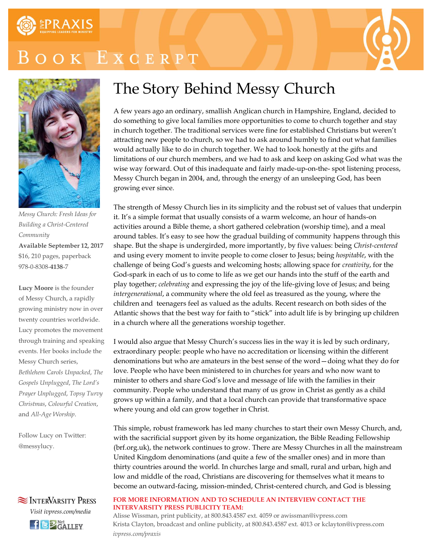

# OK EXCERPT





*Messy Church: Fresh Ideas for Building a Christ-Centered Community* **Available September 12, 2017** \$16, 210 pages, paperback 978-0-8308-**4138**-7

**Lucy Moore** is the founder of Messy Church, a rapidly growing ministry now in over twenty countries worldwide. Lucy promotes the movement through training and speaking events. Her books include the Messy Church series, *Bethlehem Carols Unpacked*, *The Gospels Unplugged*, *The Lord's Prayer Unplugged*, *Topsy Turvy Christmas*, *Colourful Creation*, and *All-Age Worship*.

Follow Lucy on Twitter: @messylucy.



 $H \bigotimes_{\mathsf{GALLEY}}^{\mathsf{Net}}$ 

## The Story Behind Messy Church

A few years ago an ordinary, smallish Anglican church in Hampshire, England, decided to do something to give local families more opportunities to come to church together and stay in church together. The traditional services were fine for established Christians but weren't attracting new people to church, so we had to ask around humbly to find out what families would actually like to do in church together. We had to look honestly at the gifts and limitations of our church members, and we had to ask and keep on asking God what was the wise way forward. Out of this inadequate and fairly made-up-on-the- spot listening process, Messy Church began in 2004, and, through the energy of an unsleeping God, has been growing ever since.

The strength of Messy Church lies in its simplicity and the robust set of values that underpin it. It's a simple format that usually consists of a warm welcome, an hour of hands-on activities around a Bible theme, a short gathered celebration (worship time), and a meal around tables. It's easy to see how the gradual building of community happens through this shape. But the shape is undergirded, more importantly, by five values: being *Christ-centered*  and using every moment to invite people to come closer to Jesus; being *hospitable*, with the challenge of being God's guests and welcoming hosts; allowing space for *creativity*, for the God-spark in each of us to come to life as we get our hands into the stuff of the earth and play together; *celebrating* and expressing the joy of the life-giving love of Jesus; and being *intergenerational*, a community where the old feel as treasured as the young, where the children and teenagers feel as valued as the adults. Recent research on both sides of the Atlantic shows that the best way for faith to "stick" into adult life is by bringing up children in a church where all the generations worship together.

I would also argue that Messy Church's success lies in the way it is led by such ordinary, extraordinary people: people who have no accreditation or licensing within the different denominations but who are amateurs in the best sense of the word—doing what they do for love. People who have been ministered to in churches for years and who now want to minister to others and share God's love and message of life with the families in their community. People who understand that many of us grow in Christ as gently as a child grows up within a family, and that a local church can provide that transformative space where young and old can grow together in Christ.

This simple, robust framework has led many churches to start their own Messy Church, and, with the sacrificial support given by its home organization, the Bible Reading Fellowship (brf.org.uk), the network continues to grow. There are Messy Churches in all the mainstream United Kingdom denominations (and quite a few of the smaller ones) and in more than thirty countries around the world. In churches large and small, rural and urban, high and low and middle of the road, Christians are discovering for themselves what it means to become an outward-facing, mission-minded, Christ-centered church, and God is blessing

#### **FOR MORE INFORMATION AND TO SCHEDULE AN INTERVIEW CONTACT THE INTERVARSITY PRESS PUBLICITY TEAM:**

Alisse Wissman, print publicity, at 800.843.4587 ext. 4059 or awissman@ivpress.com Krista Clayton, broadcast and online publicity, at 800.843.4587 ext. 4013 or kclayton@ivpress.com *ivpress.com/praxis*